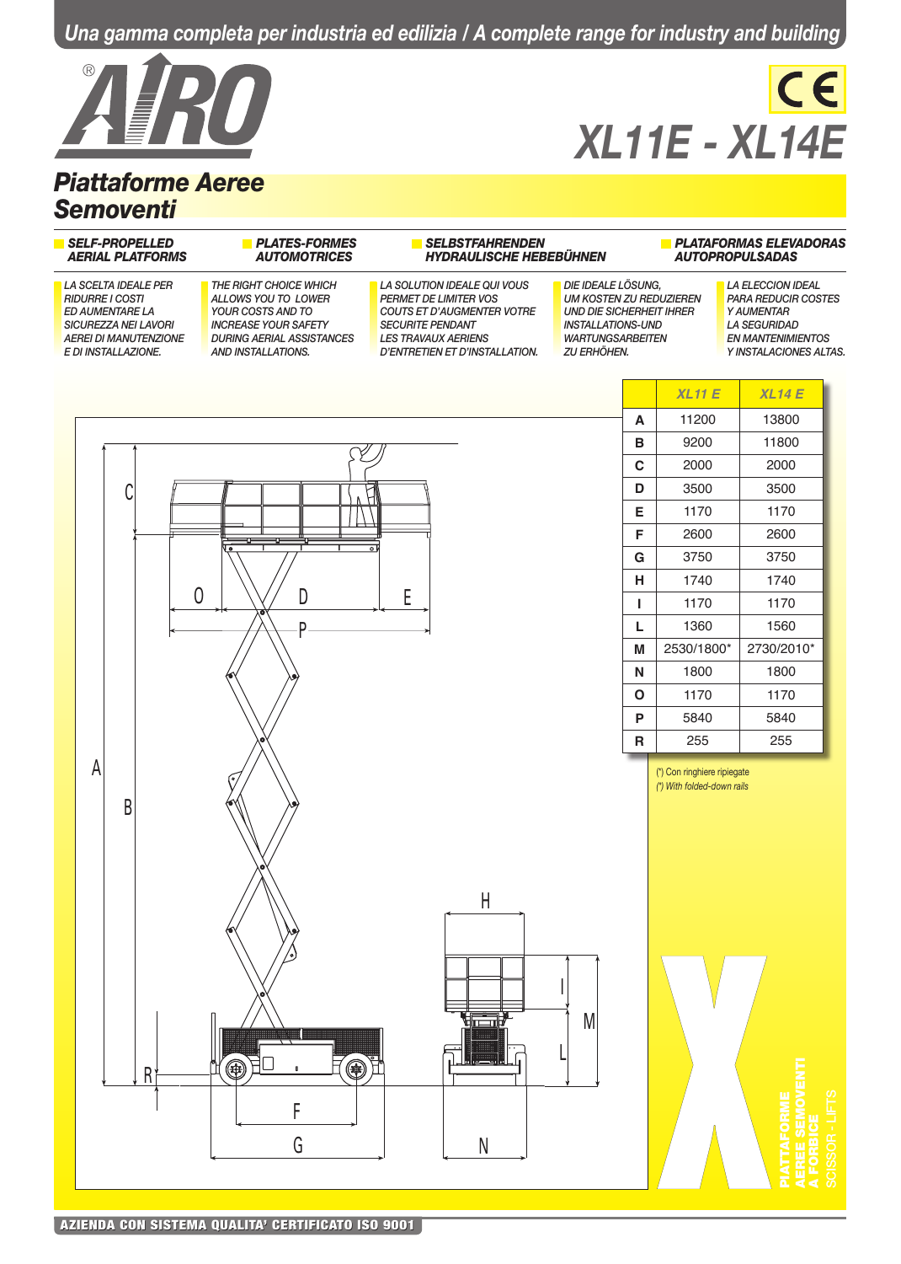*Una gamma completa per industria ed edilizia / A complete range for industry and building*



## *Piattaforme Aeree Semoventi*

# $CE$ *XL11E - XL14E*